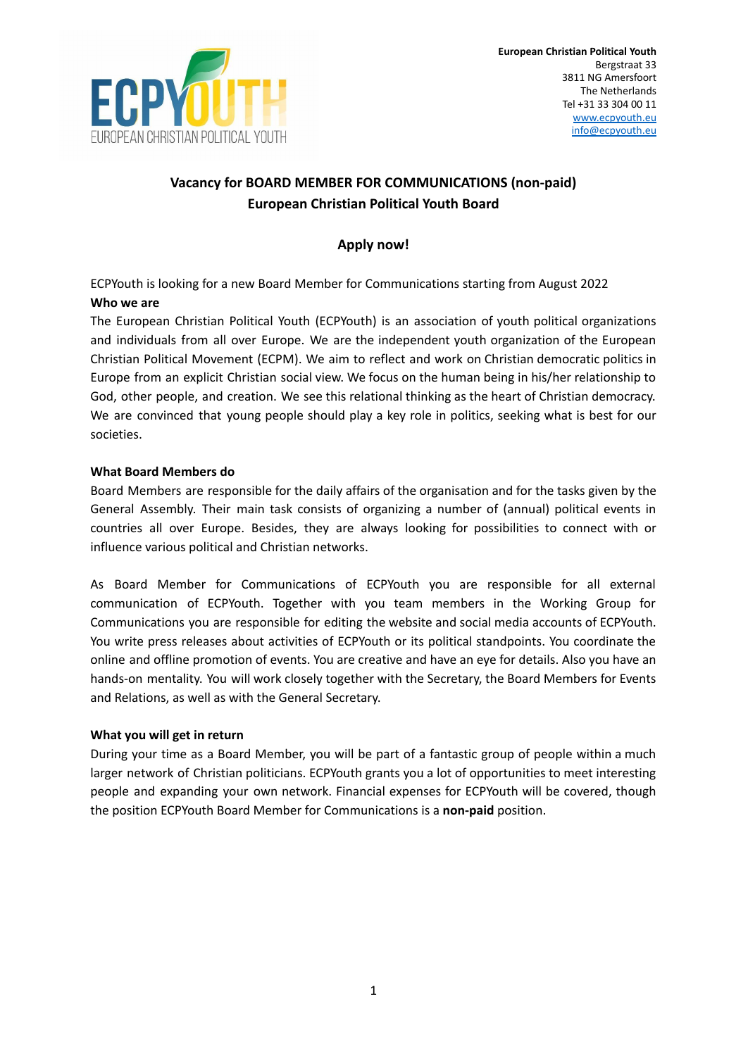

# **Vacancy for BOARD MEMBER FOR COMMUNICATIONS (non-paid) European Christian Political Youth Board**

## **Apply now!**

ECPYouth is looking for a new Board Member for Communications starting from August 2022 **Who we are**

The European Christian Political Youth (ECPYouth) is an association of youth political organizations and individuals from all over Europe. We are the independent youth organization of the European Christian Political Movement (ECPM). We aim to reflect and work on Christian democratic politics in Europe from an explicit Christian social view. We focus on the human being in his/her relationship to God, other people, and creation. We see this relational thinking as the heart of Christian democracy. We are convinced that young people should play a key role in politics, seeking what is best for our societies.

## **What Board Members do**

Board Members are responsible for the daily affairs of the organisation and for the tasks given by the General Assembly. Their main task consists of organizing a number of (annual) political events in countries all over Europe. Besides, they are always looking for possibilities to connect with or influence various political and Christian networks.

As Board Member for Communications of ECPYouth you are responsible for all external communication of ECPYouth. Together with you team members in the Working Group for Communications you are responsible for editing the website and social media accounts of ECPYouth. You write press releases about activities of ECPYouth or its political standpoints. You coordinate the online and offline promotion of events. You are creative and have an eye for details. Also you have an hands-on mentality. You will work closely together with the Secretary, the Board Members for Events and Relations, as well as with the General Secretary.

## **What you will get in return**

During your time as a Board Member, you will be part of a fantastic group of people within a much larger network of Christian politicians. ECPYouth grants you a lot of opportunities to meet interesting people and expanding your own network. Financial expenses for ECPYouth will be covered, though the position ECPYouth Board Member for Communications is a **non-paid** position.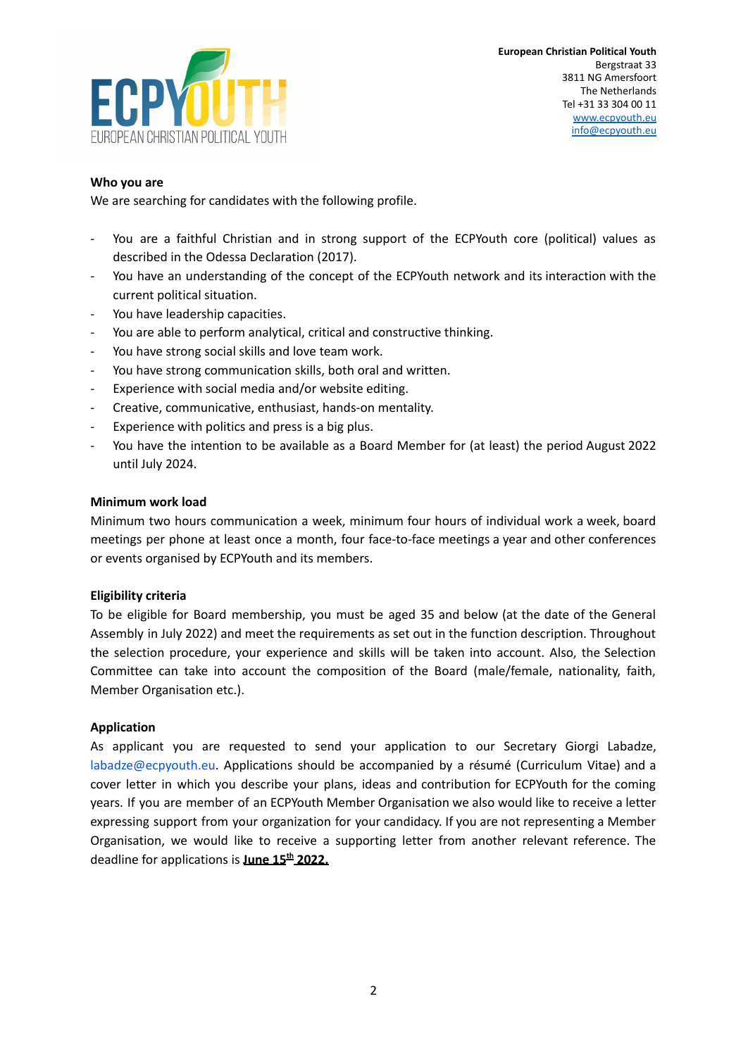

## **Who you are**

We are searching for candidates with the following profile.

- You are a faithful Christian and in strong support of the ECPYouth core (political) values as described in the Odessa Declaration (2017).
- You have an understanding of the concept of the ECPYouth network and its interaction with the current political situation.
- You have leadership capacities.
- You are able to perform analytical, critical and constructive thinking.
- You have strong social skills and love team work.
- You have strong communication skills, both oral and written.
- Experience with social media and/or website editing.
- Creative, communicative, enthusiast, hands-on mentality.
- Experience with politics and press is a big plus.
- You have the intention to be available as a Board Member for (at least) the period August 2022 until July 2024.

#### **Minimum work load**

Minimum two hours communication a week, minimum four hours of individual work a week, board meetings per phone at least once a month, four face-to-face meetings a year and other conferences or events organised by ECPYouth and its members.

## **Eligibility criteria**

To be eligible for Board membership, you must be aged 35 and below (at the date of the General Assembly in July 2022) and meet the requirements as set out in the function description. Throughout the selection procedure, your experience and skills will be taken into account. Also, the Selection Committee can take into account the composition of the Board (male/female, nationality, faith, Member Organisation etc.).

## **Application**

As applicant you are requested to send your application to our Secretary Giorgi Labadze, labadze@ecpyouth.eu. Applications should be accompanied by a résumé (Curriculum Vitae) and a cover letter in which you describe your plans, ideas and contribution for ECPYouth for the coming years. If you are member of an ECPYouth Member Organisation we also would like to receive a letter expressing support from your organization for your candidacy. If you are not representing a Member Organisation, we would like to receive a supporting letter from another relevant reference. The deadline for applications is **June 15 th 2022.**